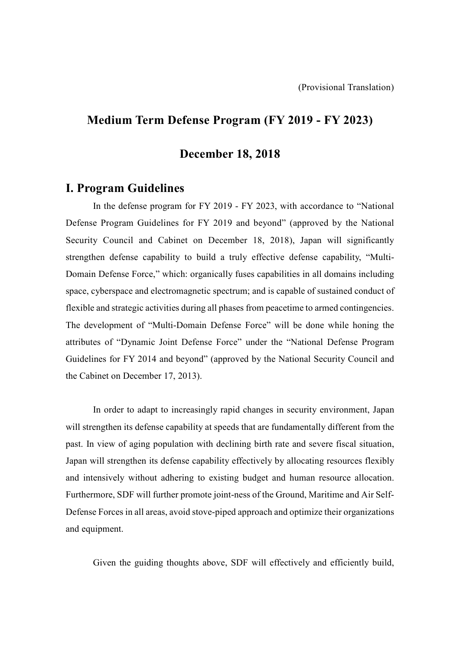# **Medium Term Defense Program (FY 2019 - FY 2023)**

## **December 18, 2018**

# **I. Program Guidelines**

In the defense program for FY 2019 - FY 2023, with accordance to "National Defense Program Guidelines for FY 2019 and beyond" (approved by the National Security Council and Cabinet on December 18, 2018), Japan will significantly strengthen defense capability to build a truly effective defense capability, "Multi-Domain Defense Force," which: organically fuses capabilities in all domains including space, cyberspace and electromagnetic spectrum; and is capable of sustained conduct of flexible and strategic activities during all phases from peacetime to armed contingencies. The development of "Multi-Domain Defense Force" will be done while honing the attributes of "Dynamic Joint Defense Force" under the "National Defense Program Guidelines for FY 2014 and beyond" (approved by the National Security Council and the Cabinet on December 17, 2013).

In order to adapt to increasingly rapid changes in security environment, Japan will strengthen its defense capability at speeds that are fundamentally different from the past. In view of aging population with declining birth rate and severe fiscal situation, Japan will strengthen its defense capability effectively by allocating resources flexibly and intensively without adhering to existing budget and human resource allocation. Furthermore, SDF will further promote joint-ness of the Ground, Maritime and Air Self-Defense Forces in all areas, avoid stove-piped approach and optimize their organizations and equipment.

Given the guiding thoughts above, SDF will effectively and efficiently build,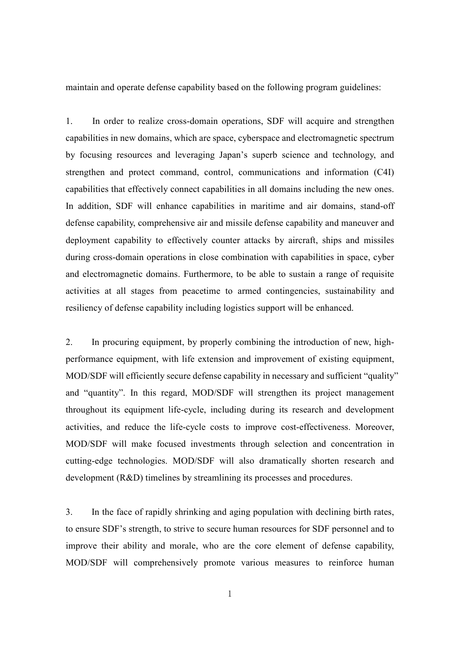maintain and operate defense capability based on the following program guidelines:

1. In order to realize cross-domain operations, SDF will acquire and strengthen capabilities in new domains, which are space, cyberspace and electromagnetic spectrum by focusing resources and leveraging Japan's superb science and technology, and strengthen and protect command, control, communications and information (C4I) capabilities that effectively connect capabilities in all domains including the new ones. In addition, SDF will enhance capabilities in maritime and air domains, stand-off defense capability, comprehensive air and missile defense capability and maneuver and deployment capability to effectively counter attacks by aircraft, ships and missiles during cross-domain operations in close combination with capabilities in space, cyber and electromagnetic domains. Furthermore, to be able to sustain a range of requisite activities at all stages from peacetime to armed contingencies, sustainability and resiliency of defense capability including logistics support will be enhanced.

2. In procuring equipment, by properly combining the introduction of new, highperformance equipment, with life extension and improvement of existing equipment, MOD/SDF will efficiently secure defense capability in necessary and sufficient "quality" and "quantity". In this regard, MOD/SDF will strengthen its project management throughout its equipment life-cycle, including during its research and development activities, and reduce the life-cycle costs to improve cost-effectiveness. Moreover, MOD/SDF will make focused investments through selection and concentration in cutting-edge technologies. MOD/SDF will also dramatically shorten research and development (R&D) timelines by streamlining its processes and procedures.

3. In the face of rapidly shrinking and aging population with declining birth rates, to ensure SDF's strength, to strive to secure human resources for SDF personnel and to improve their ability and morale, who are the core element of defense capability, MOD/SDF will comprehensively promote various measures to reinforce human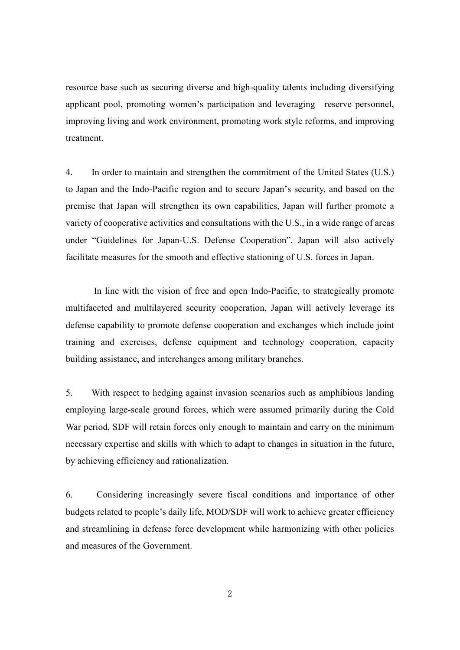resource base such as securing diverse and high-quality talents including diversifying applicant pool, promoting women's participation and leveraging reserve personnel, improving living and work environment, promoting work style reforms, and improving treatment.

4. In order to maintain and strengthen the commitment of the United States (U.S.) to Japan and the Indo-Pacific region and to secure Japan's security, and based on the premise that Japan will strengthen its own capabilities, Japan will further promote a variety of cooperative activities and consultations with the U.S., in a wide range of areas under "Guidelines for Japan-U.S. Defense Cooperation". Japan will also actively facilitate measures for the smooth and effective stationing of U.S. forces in Japan.

In line with the vision of free and open Indo-Pacific, to strategically promote multifaceted and multilayered security cooperation, Japan will actively leverage its defense capability to promote defense cooperation and exchanges which include joint training and exercises, defense equipment and technology cooperation, capacity building assistance, and interchanges among military branches.

5. With respect to hedging against invasion scenarios such as amphibious landing employing large-scale ground forces, which were assumed primarily during the Cold War period, SDF will retain forces only enough to maintain and carry on the minimum necessary expertise and skills with which to adapt to changes in situation in the future, by achieving efficiency and rationalization.

6. Considering increasingly severe fiscal conditions and importance of other budgets related to people's daily life, MOD/SDF will work to achieve greater efficiency and streamlining in defense force development while harmonizing with other policies and measures of the Government.

2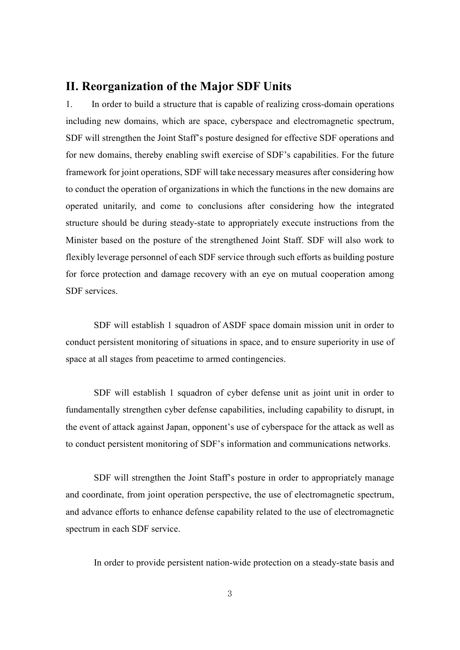# **II. Reorganization of the Major SDF Units**

1. In order to build a structure that is capable of realizing cross-domain operations including new domains, which are space, cyberspace and electromagnetic spectrum, SDF will strengthen the Joint Staff's posture designed for effective SDF operations and for new domains, thereby enabling swift exercise of SDF's capabilities. For the future framework for joint operations, SDF will take necessary measures after considering how to conduct the operation of organizations in which the functions in the new domains are operated unitarily, and come to conclusions after considering how the integrated structure should be during steady-state to appropriately execute instructions from the Minister based on the posture of the strengthened Joint Staff. SDF will also work to flexibly leverage personnel of each SDF service through such efforts as building posture for force protection and damage recovery with an eye on mutual cooperation among SDF services.

SDF will establish 1 squadron of ASDF space domain mission unit in order to conduct persistent monitoring of situations in space, and to ensure superiority in use of space at all stages from peacetime to armed contingencies.

SDF will establish 1 squadron of cyber defense unit as joint unit in order to fundamentally strengthen cyber defense capabilities, including capability to disrupt, in the event of attack against Japan, opponent's use of cyberspace for the attack as well as to conduct persistent monitoring of SDF's information and communications networks.

SDF will strengthen the Joint Staff's posture in order to appropriately manage and coordinate, from joint operation perspective, the use of electromagnetic spectrum, and advance efforts to enhance defense capability related to the use of electromagnetic spectrum in each SDF service.

In order to provide persistent nation-wide protection on a steady-state basis and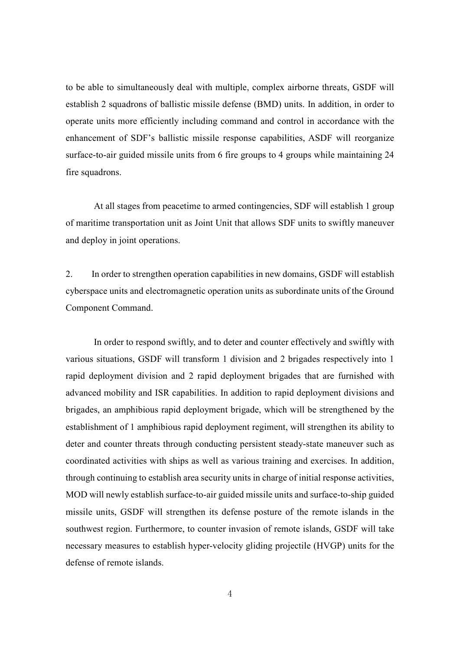to be able to simultaneously deal with multiple, complex airborne threats, GSDF will establish 2 squadrons of ballistic missile defense (BMD) units. In addition, in order to operate units more efficiently including command and control in accordance with the enhancement of SDF's ballistic missile response capabilities, ASDF will reorganize surface-to-air guided missile units from 6 fire groups to 4 groups while maintaining 24 fire squadrons.

At all stages from peacetime to armed contingencies, SDF will establish 1 group of maritime transportation unit as Joint Unit that allows SDF units to swiftly maneuver and deploy in joint operations.

2. In order to strengthen operation capabilities in new domains, GSDF will establish cyberspace units and electromagnetic operation units as subordinate units of the Ground Component Command.

In order to respond swiftly, and to deter and counter effectively and swiftly with various situations, GSDF will transform 1 division and 2 brigades respectively into 1 rapid deployment division and 2 rapid deployment brigades that are furnished with advanced mobility and ISR capabilities. In addition to rapid deployment divisions and brigades, an amphibious rapid deployment brigade, which will be strengthened by the establishment of 1 amphibious rapid deployment regiment, will strengthen its ability to deter and counter threats through conducting persistent steady-state maneuver such as coordinated activities with ships as well as various training and exercises. In addition, through continuing to establish area security units in charge of initial response activities, MOD will newly establish surface-to-air guided missile units and surface-to-ship guided missile units, GSDF will strengthen its defense posture of the remote islands in the southwest region. Furthermore, to counter invasion of remote islands, GSDF will take necessary measures to establish hyper-velocity gliding projectile (HVGP) units for the defense of remote islands.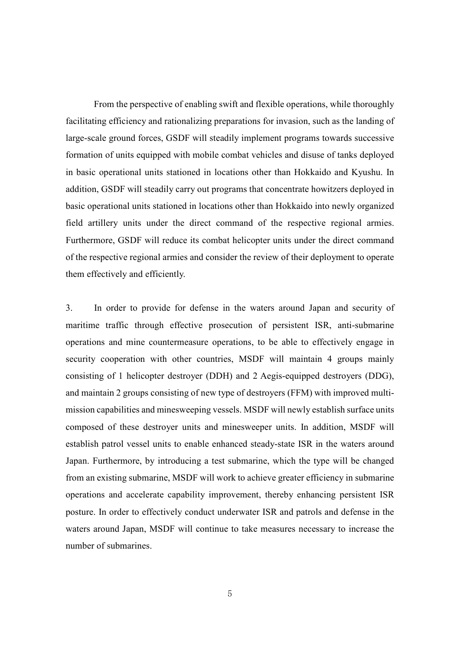From the perspective of enabling swift and flexible operations, while thoroughly facilitating efficiency and rationalizing preparations for invasion, such as the landing of large-scale ground forces, GSDF will steadily implement programs towards successive formation of units equipped with mobile combat vehicles and disuse of tanks deployed in basic operational units stationed in locations other than Hokkaido and Kyushu. In addition, GSDF will steadily carry out programs that concentrate howitzers deployed in basic operational units stationed in locations other than Hokkaido into newly organized field artillery units under the direct command of the respective regional armies. Furthermore, GSDF will reduce its combat helicopter units under the direct command of the respective regional armies and consider the review of their deployment to operate them effectively and efficiently.

3. In order to provide for defense in the waters around Japan and security of maritime traffic through effective prosecution of persistent ISR, anti-submarine operations and mine countermeasure operations, to be able to effectively engage in security cooperation with other countries, MSDF will maintain 4 groups mainly consisting of 1 helicopter destroyer (DDH) and 2 Aegis-equipped destroyers (DDG), and maintain 2 groups consisting of new type of destroyers (FFM) with improved multimission capabilities and minesweeping vessels. MSDF will newly establish surface units composed of these destroyer units and minesweeper units. In addition, MSDF will establish patrol vessel units to enable enhanced steady-state ISR in the waters around Japan. Furthermore, by introducing a test submarine, which the type will be changed from an existing submarine, MSDF will work to achieve greater efficiency in submarine operations and accelerate capability improvement, thereby enhancing persistent ISR posture. In order to effectively conduct underwater ISR and patrols and defense in the waters around Japan, MSDF will continue to take measures necessary to increase the number of submarines.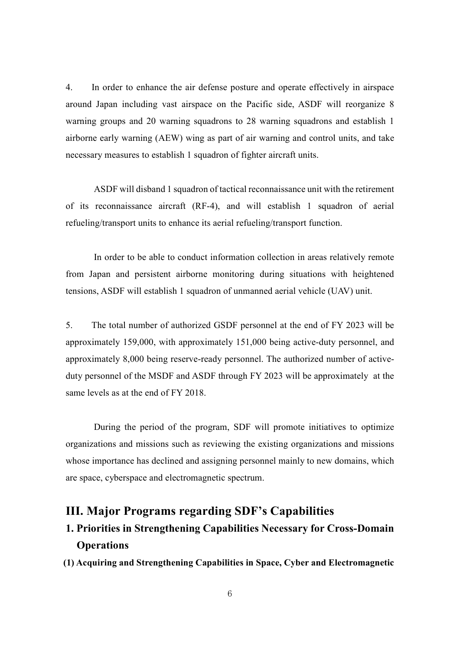4. In order to enhance the air defense posture and operate effectively in airspace around Japan including vast airspace on the Pacific side, ASDF will reorganize 8 warning groups and 20 warning squadrons to 28 warning squadrons and establish 1 airborne early warning (AEW) wing as part of air warning and control units, and take necessary measures to establish 1 squadron of fighter aircraft units.

ASDF will disband 1 squadron of tactical reconnaissance unit with the retirement of its reconnaissance aircraft (RF-4), and will establish 1 squadron of aerial refueling/transport units to enhance its aerial refueling/transport function.

In order to be able to conduct information collection in areas relatively remote from Japan and persistent airborne monitoring during situations with heightened tensions, ASDF will establish 1 squadron of unmanned aerial vehicle (UAV) unit.

5. The total number of authorized GSDF personnel at the end of FY 2023 will be approximately 159,000, with approximately 151,000 being active-duty personnel, and approximately 8,000 being reserve-ready personnel. The authorized number of activeduty personnel of the MSDF and ASDF through FY 2023 will be approximately at the same levels as at the end of FY 2018.

During the period of the program, SDF will promote initiatives to optimize organizations and missions such as reviewing the existing organizations and missions whose importance has declined and assigning personnel mainly to new domains, which are space, cyberspace and electromagnetic spectrum.

# **III. Major Programs regarding SDF's Capabilities**

# **1. Priorities in Strengthening Capabilities Necessary for Cross-Domain Operations**

**(1) Acquiring and Strengthening Capabilities in Space, Cyber and Electromagnetic**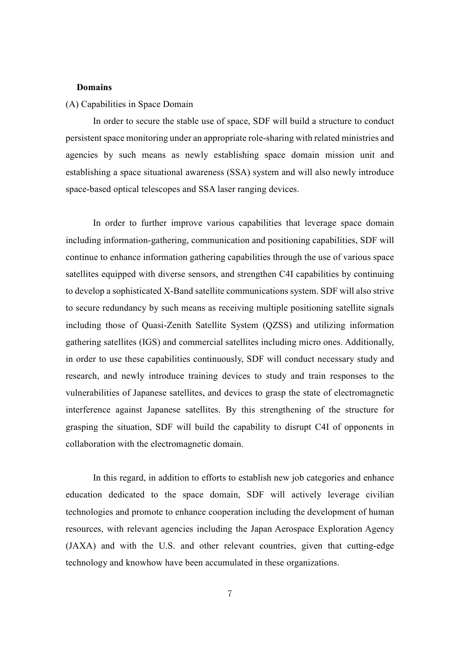#### **Domains**

#### (A) Capabilities in Space Domain

In order to secure the stable use of space, SDF will build a structure to conduct persistent space monitoring under an appropriate role-sharing with related ministries and agencies by such means as newly establishing space domain mission unit and establishing a space situational awareness (SSA) system and will also newly introduce space-based optical telescopes and SSA laser ranging devices.

In order to further improve various capabilities that leverage space domain including information-gathering, communication and positioning capabilities, SDF will continue to enhance information gathering capabilities through the use of various space satellites equipped with diverse sensors, and strengthen C4I capabilities by continuing to develop a sophisticated X-Band satellite communications system. SDF will also strive to secure redundancy by such means as receiving multiple positioning satellite signals including those of Quasi-Zenith Satellite System (QZSS) and utilizing information gathering satellites (IGS) and commercial satellites including micro ones. Additionally, in order to use these capabilities continuously, SDF will conduct necessary study and research, and newly introduce training devices to study and train responses to the vulnerabilities of Japanese satellites, and devices to grasp the state of electromagnetic interference against Japanese satellites. By this strengthening of the structure for grasping the situation, SDF will build the capability to disrupt C4I of opponents in collaboration with the electromagnetic domain.

In this regard, in addition to efforts to establish new job categories and enhance education dedicated to the space domain, SDF will actively leverage civilian technologies and promote to enhance cooperation including the development of human resources, with relevant agencies including the Japan Aerospace Exploration Agency (JAXA) and with the U.S. and other relevant countries, given that cutting-edge technology and knowhow have been accumulated in these organizations.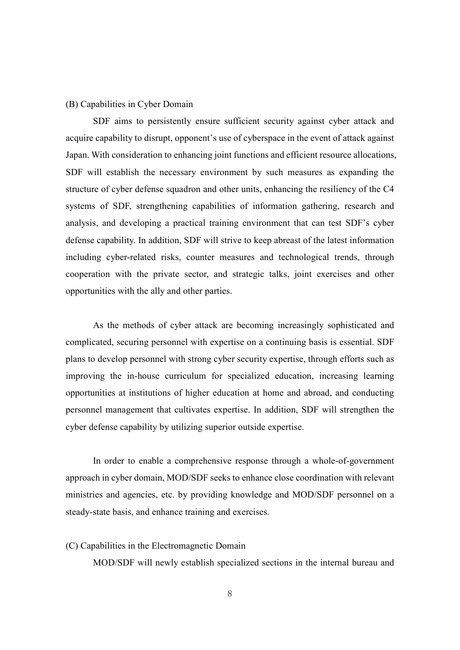#### (B) Capabilities in Cyber Domain

SDF aims to persistently ensure sufficient security against cyber attack and acquire capability to disrupt, opponent's use of cyberspace in the event of attack against Japan. With consideration to enhancing joint functions and efficient resource allocations, SDF will establish the necessary environment by such measures as expanding the structure of cyber defense squadron and other units, enhancing the resiliency of the C4 systems of SDF, strengthening capabilities of information gathering, research and analysis, and developing a practical training environment that can test SDF's cyber defense capability. In addition, SDF will strive to keep abreast of the latest information including cyber-related risks, counter measures and technological trends, through cooperation with the private sector, and strategic talks, joint exercises and other opportunities with the ally and other parties.

As the methods of cyber attack are becoming increasingly sophisticated and complicated, securing personnel with expertise on a continuing basis is essential. SDF plans to develop personnel with strong cyber security expertise, through efforts such as improving the in-house curriculum for specialized education, increasing learning opportunities at institutions of higher education at home and abroad, and conducting personnel management that cultivates expertise. In addition, SDF will strengthen the cyber defense capability by utilizing superior outside expertise.

In order to enable a comprehensive response through a whole-of-government approach in cyber domain, MOD/SDF seeks to enhance close coordination with relevant ministries and agencies, etc. by providing knowledge and MOD/SDF personnel on a steady-state basis, and enhance training and exercises.

### (C) Capabilities in the Electromagnetic Domain

MOD/SDF will newly establish specialized sections in the internal bureau and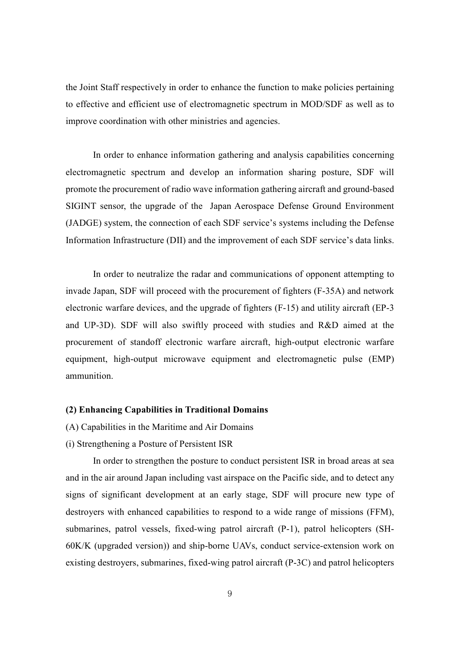the Joint Staff respectively in order to enhance the function to make policies pertaining to effective and efficient use of electromagnetic spectrum in MOD/SDF as well as to improve coordination with other ministries and agencies.

In order to enhance information gathering and analysis capabilities concerning electromagnetic spectrum and develop an information sharing posture, SDF will promote the procurement of radio wave information gathering aircraft and ground-based SIGINT sensor, the upgrade of the Japan Aerospace Defense Ground Environment (JADGE) system, the connection of each SDF service's systems including the Defense Information Infrastructure (DII) and the improvement of each SDF service's data links.

In order to neutralize the radar and communications of opponent attempting to invade Japan, SDF will proceed with the procurement of fighters (F-35A) and network electronic warfare devices, and the upgrade of fighters (F-15) and utility aircraft (EP-3 and UP-3D). SDF will also swiftly proceed with studies and R&D aimed at the procurement of standoff electronic warfare aircraft, high-output electronic warfare equipment, high-output microwave equipment and electromagnetic pulse (EMP) ammunition.

#### **(2) Enhancing Capabilities in Traditional Domains**

- (A) Capabilities in the Maritime and Air Domains
- (i) Strengthening a Posture of Persistent ISR

In order to strengthen the posture to conduct persistent ISR in broad areas at sea and in the air around Japan including vast airspace on the Pacific side, and to detect any signs of significant development at an early stage, SDF will procure new type of destroyers with enhanced capabilities to respond to a wide range of missions (FFM), submarines, patrol vessels, fixed-wing patrol aircraft (P-1), patrol helicopters (SH-60K/K (upgraded version)) and ship-borne UAVs, conduct service-extension work on existing destroyers, submarines, fixed-wing patrol aircraft (P-3C) and patrol helicopters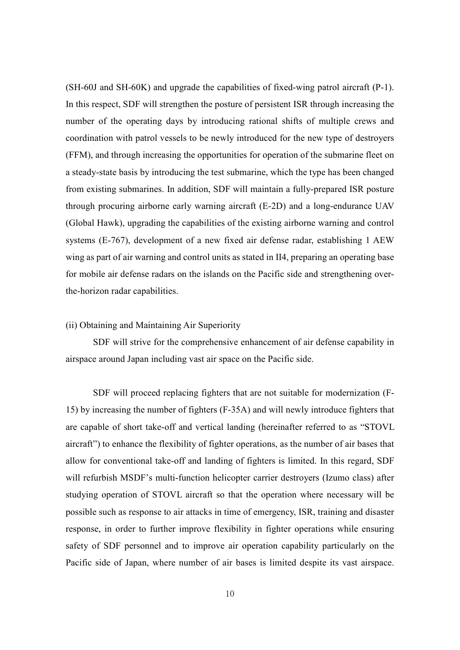(SH-60J and SH-60K) and upgrade the capabilities of fixed-wing patrol aircraft (P-1). In this respect, SDF will strengthen the posture of persistent ISR through increasing the number of the operating days by introducing rational shifts of multiple crews and coordination with patrol vessels to be newly introduced for the new type of destroyers (FFM), and through increasing the opportunities for operation of the submarine fleet on a steady-state basis by introducing the test submarine, which the type has been changed from existing submarines. In addition, SDF will maintain a fully-prepared ISR posture through procuring airborne early warning aircraft (E-2D) and a long-endurance UAV (Global Hawk), upgrading the capabilities of the existing airborne warning and control systems (E-767), development of a new fixed air defense radar, establishing 1 AEW wing as part of air warning and control units as stated in II4, preparing an operating base for mobile air defense radars on the islands on the Pacific side and strengthening overthe-horizon radar capabilities.

## (ii) Obtaining and Maintaining Air Superiority

SDF will strive for the comprehensive enhancement of air defense capability in airspace around Japan including vast air space on the Pacific side.

SDF will proceed replacing fighters that are not suitable for modernization (F-15) by increasing the number of fighters (F-35A) and will newly introduce fighters that are capable of short take-off and vertical landing (hereinafter referred to as "STOVL aircraft") to enhance the flexibility of fighter operations, as the number of air bases that allow for conventional take-off and landing of fighters is limited. In this regard, SDF will refurbish MSDF's multi-function helicopter carrier destroyers (Izumo class) after studying operation of STOVL aircraft so that the operation where necessary will be possible such as response to air attacks in time of emergency, ISR, training and disaster response, in order to further improve flexibility in fighter operations while ensuring safety of SDF personnel and to improve air operation capability particularly on the Pacific side of Japan, where number of air bases is limited despite its vast airspace.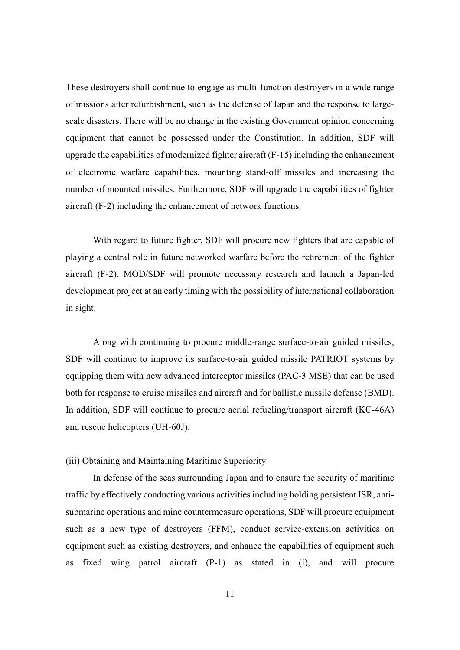These destroyers shall continue to engage as multi-function destroyers in a wide range of missions after refurbishment, such as the defense of Japan and the response to largescale disasters. There will be no change in the existing Government opinion concerning equipment that cannot be possessed under the Constitution. In addition, SDF will upgrade the capabilities of modernized fighter aircraft (F-15) including the enhancement of electronic warfare capabilities, mounting stand-off missiles and increasing the number of mounted missiles. Furthermore, SDF will upgrade the capabilities of fighter aircraft (F-2) including the enhancement of network functions.

With regard to future fighter, SDF will procure new fighters that are capable of playing a central role in future networked warfare before the retirement of the fighter aircraft (F-2). MOD/SDF will promote necessary research and launch a Japan-led development project at an early timing with the possibility of international collaboration in sight.

Along with continuing to procure middle-range surface-to-air guided missiles, SDF will continue to improve its surface-to-air guided missile PATRIOT systems by equipping them with new advanced interceptor missiles (PAC-3 MSE) that can be used both for response to cruise missiles and aircraft and for ballistic missile defense (BMD). In addition, SDF will continue to procure aerial refueling/transport aircraft (KC-46A) and rescue helicopters (UH-60J).

## (iii) Obtaining and Maintaining Maritime Superiority

In defense of the seas surrounding Japan and to ensure the security of maritime traffic by effectively conducting various activities including holding persistent ISR, antisubmarine operations and mine countermeasure operations, SDF will procure equipment such as a new type of destroyers (FFM), conduct service-extension activities on equipment such as existing destroyers, and enhance the capabilities of equipment such as fixed wing patrol aircraft (P-1) as stated in (i), and will procure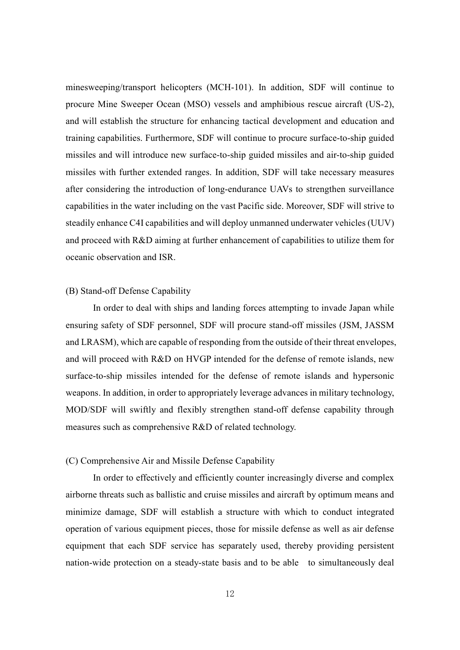minesweeping/transport helicopters (MCH-101). In addition, SDF will continue to procure Mine Sweeper Ocean (MSO) vessels and amphibious rescue aircraft (US-2), and will establish the structure for enhancing tactical development and education and training capabilities. Furthermore, SDF will continue to procure surface-to-ship guided missiles and will introduce new surface-to-ship guided missiles and air-to-ship guided missiles with further extended ranges. In addition, SDF will take necessary measures after considering the introduction of long-endurance UAVs to strengthen surveillance capabilities in the water including on the vast Pacific side. Moreover, SDF will strive to steadily enhance C4I capabilities and will deploy unmanned underwater vehicles (UUV) and proceed with R&D aiming at further enhancement of capabilities to utilize them for oceanic observation and ISR.

#### (B) Stand-off Defense Capability

In order to deal with ships and landing forces attempting to invade Japan while ensuring safety of SDF personnel, SDF will procure stand-off missiles (JSM, JASSM and LRASM), which are capable of responding from the outside of their threat envelopes, and will proceed with R&D on HVGP intended for the defense of remote islands, new surface-to-ship missiles intended for the defense of remote islands and hypersonic weapons. In addition, in order to appropriately leverage advances in military technology, MOD/SDF will swiftly and flexibly strengthen stand-off defense capability through measures such as comprehensive R&D of related technology.

### (C) Comprehensive Air and Missile Defense Capability

In order to effectively and efficiently counter increasingly diverse and complex airborne threats such as ballistic and cruise missiles and aircraft by optimum means and minimize damage, SDF will establish a structure with which to conduct integrated operation of various equipment pieces, those for missile defense as well as air defense equipment that each SDF service has separately used, thereby providing persistent nation-wide protection on a steady-state basis and to be able to simultaneously deal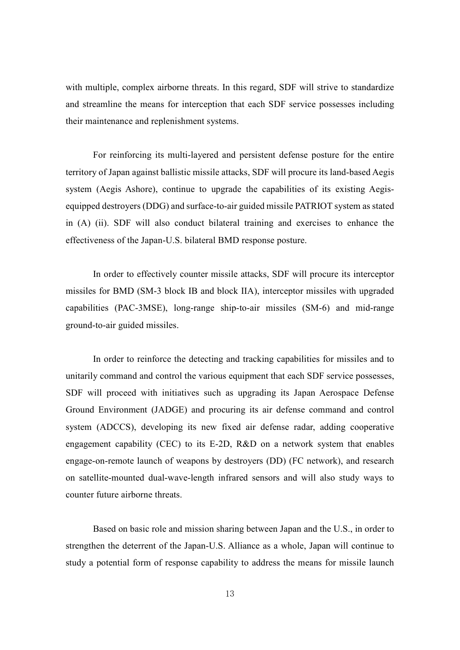with multiple, complex airborne threats. In this regard, SDF will strive to standardize and streamline the means for interception that each SDF service possesses including their maintenance and replenishment systems.

For reinforcing its multi-layered and persistent defense posture for the entire territory of Japan against ballistic missile attacks, SDF will procure its land-based Aegis system (Aegis Ashore), continue to upgrade the capabilities of its existing Aegisequipped destroyers (DDG) and surface-to-air guided missile PATRIOT system as stated in (A) (ii). SDF will also conduct bilateral training and exercises to enhance the effectiveness of the Japan-U.S. bilateral BMD response posture.

In order to effectively counter missile attacks, SDF will procure its interceptor missiles for BMD (SM-3 block IB and block IIA), interceptor missiles with upgraded capabilities (PAC-3MSE), long-range ship-to-air missiles (SM-6) and mid-range ground-to-air guided missiles.

In order to reinforce the detecting and tracking capabilities for missiles and to unitarily command and control the various equipment that each SDF service possesses, SDF will proceed with initiatives such as upgrading its Japan Aerospace Defense Ground Environment (JADGE) and procuring its air defense command and control system (ADCCS), developing its new fixed air defense radar, adding cooperative engagement capability (CEC) to its E-2D, R&D on a network system that enables engage-on-remote launch of weapons by destroyers (DD) (FC network), and research on satellite-mounted dual-wave-length infrared sensors and will also study ways to counter future airborne threats.

Based on basic role and mission sharing between Japan and the U.S., in order to strengthen the deterrent of the Japan-U.S. Alliance as a whole, Japan will continue to study a potential form of response capability to address the means for missile launch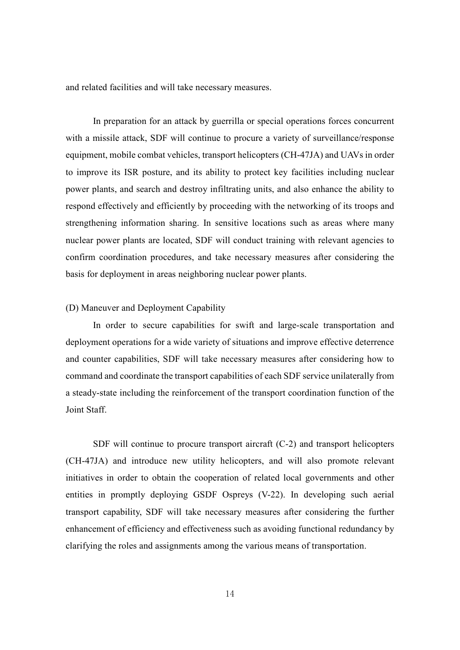and related facilities and will take necessary measures.

In preparation for an attack by guerrilla or special operations forces concurrent with a missile attack, SDF will continue to procure a variety of surveillance/response equipment, mobile combat vehicles, transport helicopters (CH-47JA) and UAVs in order to improve its ISR posture, and its ability to protect key facilities including nuclear power plants, and search and destroy infiltrating units, and also enhance the ability to respond effectively and efficiently by proceeding with the networking of its troops and strengthening information sharing. In sensitive locations such as areas where many nuclear power plants are located, SDF will conduct training with relevant agencies to confirm coordination procedures, and take necessary measures after considering the basis for deployment in areas neighboring nuclear power plants.

#### (D) Maneuver and Deployment Capability

In order to secure capabilities for swift and large-scale transportation and deployment operations for a wide variety of situations and improve effective deterrence and counter capabilities, SDF will take necessary measures after considering how to command and coordinate the transport capabilities of each SDF service unilaterally from a steady-state including the reinforcement of the transport coordination function of the Joint Staff.

SDF will continue to procure transport aircraft (C-2) and transport helicopters (CH-47JA) and introduce new utility helicopters, and will also promote relevant initiatives in order to obtain the cooperation of related local governments and other entities in promptly deploying GSDF Ospreys (V-22). In developing such aerial transport capability, SDF will take necessary measures after considering the further enhancement of efficiency and effectiveness such as avoiding functional redundancy by clarifying the roles and assignments among the various means of transportation.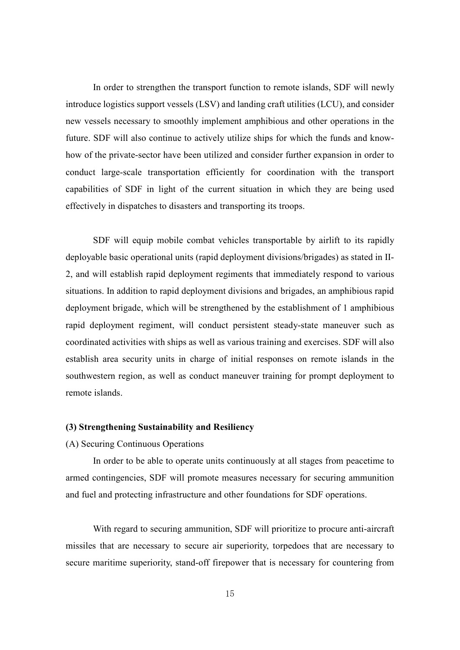In order to strengthen the transport function to remote islands, SDF will newly introduce logistics support vessels (LSV) and landing craft utilities (LCU), and consider new vessels necessary to smoothly implement amphibious and other operations in the future. SDF will also continue to actively utilize ships for which the funds and knowhow of the private-sector have been utilized and consider further expansion in order to conduct large-scale transportation efficiently for coordination with the transport capabilities of SDF in light of the current situation in which they are being used effectively in dispatches to disasters and transporting its troops.

SDF will equip mobile combat vehicles transportable by airlift to its rapidly deployable basic operational units (rapid deployment divisions/brigades) as stated in II-2, and will establish rapid deployment regiments that immediately respond to various situations. In addition to rapid deployment divisions and brigades, an amphibious rapid deployment brigade, which will be strengthened by the establishment of 1 amphibious rapid deployment regiment, will conduct persistent steady-state maneuver such as coordinated activities with ships as well as various training and exercises. SDF will also establish area security units in charge of initial responses on remote islands in the southwestern region, as well as conduct maneuver training for prompt deployment to remote islands.

#### **(3) Strengthening Sustainability and Resiliency**

#### (A) Securing Continuous Operations

In order to be able to operate units continuously at all stages from peacetime to armed contingencies, SDF will promote measures necessary for securing ammunition and fuel and protecting infrastructure and other foundations for SDF operations.

With regard to securing ammunition, SDF will prioritize to procure anti-aircraft missiles that are necessary to secure air superiority, torpedoes that are necessary to secure maritime superiority, stand-off firepower that is necessary for countering from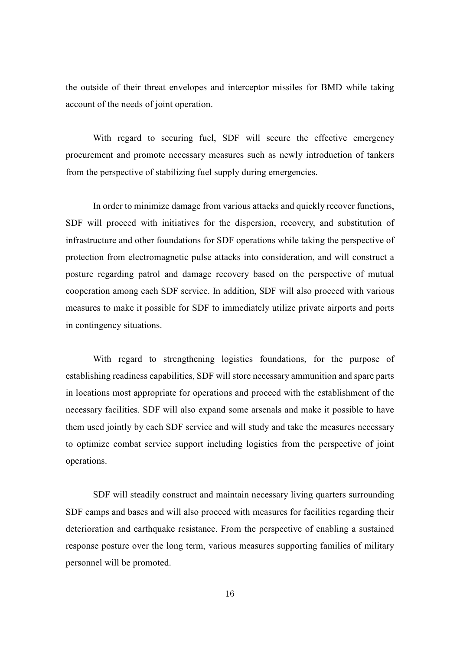the outside of their threat envelopes and interceptor missiles for BMD while taking account of the needs of joint operation.

With regard to securing fuel, SDF will secure the effective emergency procurement and promote necessary measures such as newly introduction of tankers from the perspective of stabilizing fuel supply during emergencies.

In order to minimize damage from various attacks and quickly recover functions, SDF will proceed with initiatives for the dispersion, recovery, and substitution of infrastructure and other foundations for SDF operations while taking the perspective of protection from electromagnetic pulse attacks into consideration, and will construct a posture regarding patrol and damage recovery based on the perspective of mutual cooperation among each SDF service. In addition, SDF will also proceed with various measures to make it possible for SDF to immediately utilize private airports and ports in contingency situations.

With regard to strengthening logistics foundations, for the purpose of establishing readiness capabilities, SDF will store necessary ammunition and spare parts in locations most appropriate for operations and proceed with the establishment of the necessary facilities. SDF will also expand some arsenals and make it possible to have them used jointly by each SDF service and will study and take the measures necessary to optimize combat service support including logistics from the perspective of joint operations.

SDF will steadily construct and maintain necessary living quarters surrounding SDF camps and bases and will also proceed with measures for facilities regarding their deterioration and earthquake resistance. From the perspective of enabling a sustained response posture over the long term, various measures supporting families of military personnel will be promoted.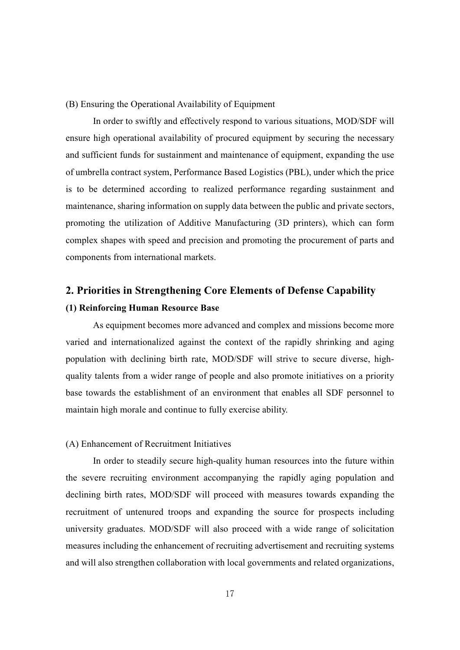#### (B) Ensuring the Operational Availability of Equipment

In order to swiftly and effectively respond to various situations, MOD/SDF will ensure high operational availability of procured equipment by securing the necessary and sufficient funds for sustainment and maintenance of equipment, expanding the use of umbrella contract system, Performance Based Logistics (PBL), under which the price is to be determined according to realized performance regarding sustainment and maintenance, sharing information on supply data between the public and private sectors, promoting the utilization of Additive Manufacturing (3D printers), which can form complex shapes with speed and precision and promoting the procurement of parts and components from international markets.

## **2. Priorities in Strengthening Core Elements of Defense Capability**

#### **(1) Reinforcing Human Resource Base**

As equipment becomes more advanced and complex and missions become more varied and internationalized against the context of the rapidly shrinking and aging population with declining birth rate, MOD/SDF will strive to secure diverse, highquality talents from a wider range of people and also promote initiatives on a priority base towards the establishment of an environment that enables all SDF personnel to maintain high morale and continue to fully exercise ability.

#### (A) Enhancement of Recruitment Initiatives

In order to steadily secure high-quality human resources into the future within the severe recruiting environment accompanying the rapidly aging population and declining birth rates, MOD/SDF will proceed with measures towards expanding the recruitment of untenured troops and expanding the source for prospects including university graduates. MOD/SDF will also proceed with a wide range of solicitation measures including the enhancement of recruiting advertisement and recruiting systems and will also strengthen collaboration with local governments and related organizations,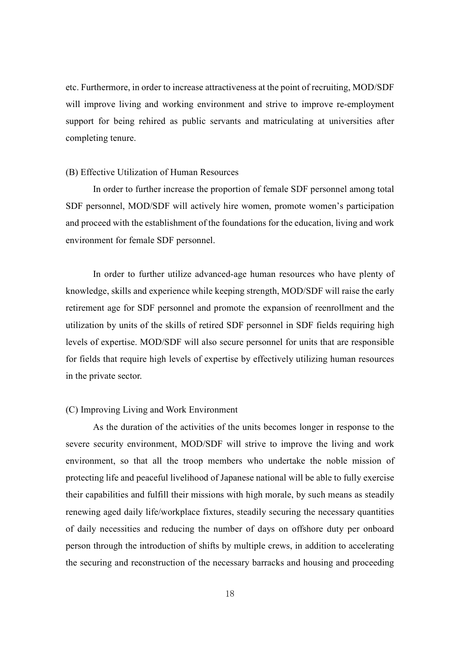etc. Furthermore, in order to increase attractiveness at the point of recruiting, MOD/SDF will improve living and working environment and strive to improve re-employment support for being rehired as public servants and matriculating at universities after completing tenure.

#### (B) Effective Utilization of Human Resources

In order to further increase the proportion of female SDF personnel among total SDF personnel, MOD/SDF will actively hire women, promote women's participation and proceed with the establishment of the foundations for the education, living and work environment for female SDF personnel.

In order to further utilize advanced-age human resources who have plenty of knowledge, skills and experience while keeping strength, MOD/SDF will raise the early retirement age for SDF personnel and promote the expansion of reenrollment and the utilization by units of the skills of retired SDF personnel in SDF fields requiring high levels of expertise. MOD/SDF will also secure personnel for units that are responsible for fields that require high levels of expertise by effectively utilizing human resources in the private sector.

#### (C) Improving Living and Work Environment

As the duration of the activities of the units becomes longer in response to the severe security environment, MOD/SDF will strive to improve the living and work environment, so that all the troop members who undertake the noble mission of protecting life and peaceful livelihood of Japanese national will be able to fully exercise their capabilities and fulfill their missions with high morale, by such means as steadily renewing aged daily life/workplace fixtures, steadily securing the necessary quantities of daily necessities and reducing the number of days on offshore duty per onboard person through the introduction of shifts by multiple crews, in addition to accelerating the securing and reconstruction of the necessary barracks and housing and proceeding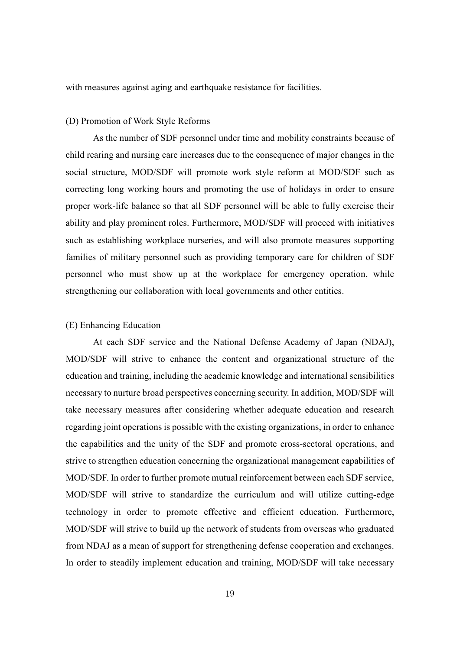with measures against aging and earthquake resistance for facilities.

#### (D) Promotion of Work Style Reforms

As the number of SDF personnel under time and mobility constraints because of child rearing and nursing care increases due to the consequence of major changes in the social structure, MOD/SDF will promote work style reform at MOD/SDF such as correcting long working hours and promoting the use of holidays in order to ensure proper work-life balance so that all SDF personnel will be able to fully exercise their ability and play prominent roles. Furthermore, MOD/SDF will proceed with initiatives such as establishing workplace nurseries, and will also promote measures supporting families of military personnel such as providing temporary care for children of SDF personnel who must show up at the workplace for emergency operation, while strengthening our collaboration with local governments and other entities.

#### (E) Enhancing Education

At each SDF service and the National Defense Academy of Japan (NDAJ), MOD/SDF will strive to enhance the content and organizational structure of the education and training, including the academic knowledge and international sensibilities necessary to nurture broad perspectives concerning security. In addition, MOD/SDF will take necessary measures after considering whether adequate education and research regarding joint operations is possible with the existing organizations, in order to enhance the capabilities and the unity of the SDF and promote cross-sectoral operations, and strive to strengthen education concerning the organizational management capabilities of MOD/SDF. In order to further promote mutual reinforcement between each SDF service, MOD/SDF will strive to standardize the curriculum and will utilize cutting-edge technology in order to promote effective and efficient education. Furthermore, MOD/SDF will strive to build up the network of students from overseas who graduated from NDAJ as a mean of support for strengthening defense cooperation and exchanges. In order to steadily implement education and training, MOD/SDF will take necessary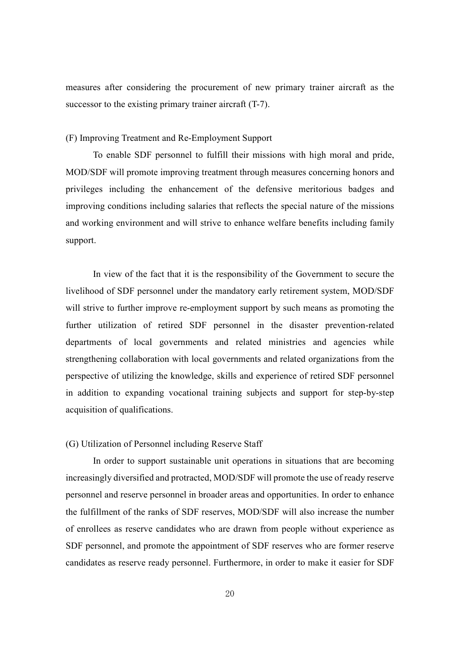measures after considering the procurement of new primary trainer aircraft as the successor to the existing primary trainer aircraft (T-7).

#### (F) Improving Treatment and Re-Employment Support

To enable SDF personnel to fulfill their missions with high moral and pride, MOD/SDF will promote improving treatment through measures concerning honors and privileges including the enhancement of the defensive meritorious badges and improving conditions including salaries that reflects the special nature of the missions and working environment and will strive to enhance welfare benefits including family support.

In view of the fact that it is the responsibility of the Government to secure the livelihood of SDF personnel under the mandatory early retirement system, MOD/SDF will strive to further improve re-employment support by such means as promoting the further utilization of retired SDF personnel in the disaster prevention-related departments of local governments and related ministries and agencies while strengthening collaboration with local governments and related organizations from the perspective of utilizing the knowledge, skills and experience of retired SDF personnel in addition to expanding vocational training subjects and support for step-by-step acquisition of qualifications.

## (G) Utilization of Personnel including Reserve Staff

In order to support sustainable unit operations in situations that are becoming increasingly diversified and protracted, MOD/SDF will promote the use of ready reserve personnel and reserve personnel in broader areas and opportunities. In order to enhance the fulfillment of the ranks of SDF reserves, MOD/SDF will also increase the number of enrollees as reserve candidates who are drawn from people without experience as SDF personnel, and promote the appointment of SDF reserves who are former reserve candidates as reserve ready personnel. Furthermore, in order to make it easier for SDF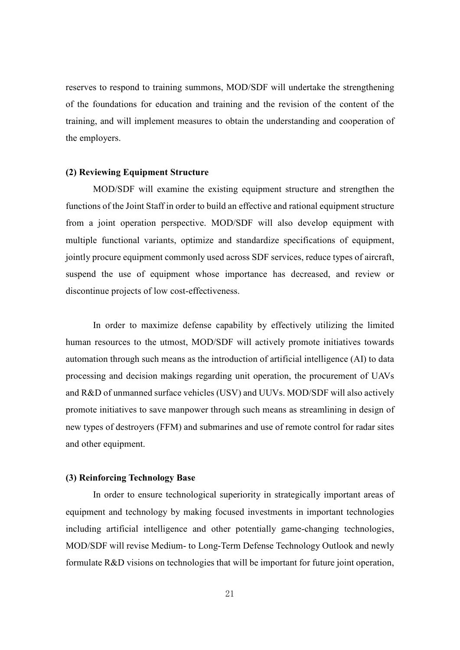reserves to respond to training summons, MOD/SDF will undertake the strengthening of the foundations for education and training and the revision of the content of the training, and will implement measures to obtain the understanding and cooperation of the employers.

#### **(2) Reviewing Equipment Structure**

MOD/SDF will examine the existing equipment structure and strengthen the functions of the Joint Staff in order to build an effective and rational equipment structure from a joint operation perspective. MOD/SDF will also develop equipment with multiple functional variants, optimize and standardize specifications of equipment, jointly procure equipment commonly used across SDF services, reduce types of aircraft, suspend the use of equipment whose importance has decreased, and review or discontinue projects of low cost-effectiveness.

In order to maximize defense capability by effectively utilizing the limited human resources to the utmost, MOD/SDF will actively promote initiatives towards automation through such means as the introduction of artificial intelligence (AI) to data processing and decision makings regarding unit operation, the procurement of UAVs and R&D of unmanned surface vehicles (USV) and UUVs. MOD/SDF will also actively promote initiatives to save manpower through such means as streamlining in design of new types of destroyers (FFM) and submarines and use of remote control for radar sites and other equipment.

### **(3) Reinforcing Technology Base**

In order to ensure technological superiority in strategically important areas of equipment and technology by making focused investments in important technologies including artificial intelligence and other potentially game-changing technologies, MOD/SDF will revise Medium- to Long-Term Defense Technology Outlook and newly formulate R&D visions on technologies that will be important for future joint operation,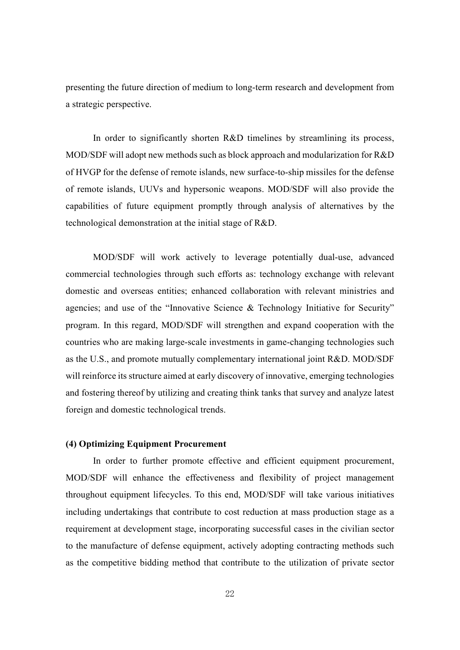presenting the future direction of medium to long-term research and development from a strategic perspective.

In order to significantly shorten R&D timelines by streamlining its process, MOD/SDF will adopt new methods such as block approach and modularization for R&D of HVGP for the defense of remote islands, new surface-to-ship missiles for the defense of remote islands, UUVs and hypersonic weapons. MOD/SDF will also provide the capabilities of future equipment promptly through analysis of alternatives by the technological demonstration at the initial stage of R&D.

MOD/SDF will work actively to leverage potentially dual-use, advanced commercial technologies through such efforts as: technology exchange with relevant domestic and overseas entities; enhanced collaboration with relevant ministries and agencies; and use of the "Innovative Science & Technology Initiative for Security" program. In this regard, MOD/SDF will strengthen and expand cooperation with the countries who are making large-scale investments in game-changing technologies such as the U.S., and promote mutually complementary international joint R&D. MOD/SDF will reinforce its structure aimed at early discovery of innovative, emerging technologies and fostering thereof by utilizing and creating think tanks that survey and analyze latest foreign and domestic technological trends.

## **(4) Optimizing Equipment Procurement**

In order to further promote effective and efficient equipment procurement, MOD/SDF will enhance the effectiveness and flexibility of project management throughout equipment lifecycles. To this end, MOD/SDF will take various initiatives including undertakings that contribute to cost reduction at mass production stage as a requirement at development stage, incorporating successful cases in the civilian sector to the manufacture of defense equipment, actively adopting contracting methods such as the competitive bidding method that contribute to the utilization of private sector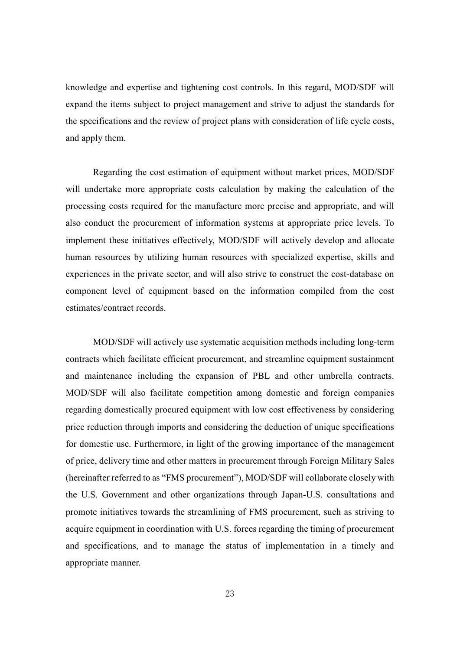knowledge and expertise and tightening cost controls. In this regard, MOD/SDF will expand the items subject to project management and strive to adjust the standards for the specifications and the review of project plans with consideration of life cycle costs, and apply them.

Regarding the cost estimation of equipment without market prices, MOD/SDF will undertake more appropriate costs calculation by making the calculation of the processing costs required for the manufacture more precise and appropriate, and will also conduct the procurement of information systems at appropriate price levels. To implement these initiatives effectively, MOD/SDF will actively develop and allocate human resources by utilizing human resources with specialized expertise, skills and experiences in the private sector, and will also strive to construct the cost-database on component level of equipment based on the information compiled from the cost estimates/contract records.

MOD/SDF will actively use systematic acquisition methods including long-term contracts which facilitate efficient procurement, and streamline equipment sustainment and maintenance including the expansion of PBL and other umbrella contracts. MOD/SDF will also facilitate competition among domestic and foreign companies regarding domestically procured equipment with low cost effectiveness by considering price reduction through imports and considering the deduction of unique specifications for domestic use. Furthermore, in light of the growing importance of the management of price, delivery time and other matters in procurement through Foreign Military Sales (hereinafter referred to as "FMS procurement"), MOD/SDF will collaborate closely with the U.S. Government and other organizations through Japan-U.S. consultations and promote initiatives towards the streamlining of FMS procurement, such as striving to acquire equipment in coordination with U.S. forces regarding the timing of procurement and specifications, and to manage the status of implementation in a timely and appropriate manner.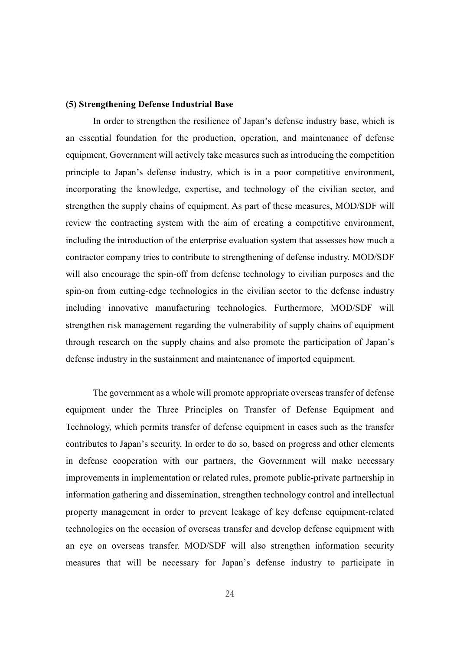#### **(5) Strengthening Defense Industrial Base**

In order to strengthen the resilience of Japan's defense industry base, which is an essential foundation for the production, operation, and maintenance of defense equipment, Government will actively take measures such as introducing the competition principle to Japan's defense industry, which is in a poor competitive environment, incorporating the knowledge, expertise, and technology of the civilian sector, and strengthen the supply chains of equipment. As part of these measures, MOD/SDF will review the contracting system with the aim of creating a competitive environment, including the introduction of the enterprise evaluation system that assesses how much a contractor company tries to contribute to strengthening of defense industry. MOD/SDF will also encourage the spin-off from defense technology to civilian purposes and the spin-on from cutting-edge technologies in the civilian sector to the defense industry including innovative manufacturing technologies. Furthermore, MOD/SDF will strengthen risk management regarding the vulnerability of supply chains of equipment through research on the supply chains and also promote the participation of Japan's defense industry in the sustainment and maintenance of imported equipment.

The government as a whole will promote appropriate overseas transfer of defense equipment under the Three Principles on Transfer of Defense Equipment and Technology, which permits transfer of defense equipment in cases such as the transfer contributes to Japan's security. In order to do so, based on progress and other elements in defense cooperation with our partners, the Government will make necessary improvements in implementation or related rules, promote public-private partnership in information gathering and dissemination, strengthen technology control and intellectual property management in order to prevent leakage of key defense equipment-related technologies on the occasion of overseas transfer and develop defense equipment with an eye on overseas transfer. MOD/SDF will also strengthen information security measures that will be necessary for Japan's defense industry to participate in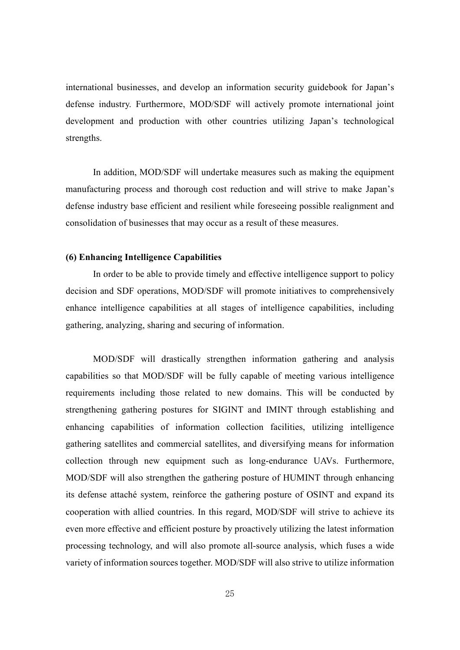international businesses, and develop an information security guidebook for Japan's defense industry. Furthermore, MOD/SDF will actively promote international joint development and production with other countries utilizing Japan's technological strengths.

In addition, MOD/SDF will undertake measures such as making the equipment manufacturing process and thorough cost reduction and will strive to make Japan's defense industry base efficient and resilient while foreseeing possible realignment and consolidation of businesses that may occur as a result of these measures.

#### **(6) Enhancing Intelligence Capabilities**

In order to be able to provide timely and effective intelligence support to policy decision and SDF operations, MOD/SDF will promote initiatives to comprehensively enhance intelligence capabilities at all stages of intelligence capabilities, including gathering, analyzing, sharing and securing of information.

MOD/SDF will drastically strengthen information gathering and analysis capabilities so that MOD/SDF will be fully capable of meeting various intelligence requirements including those related to new domains. This will be conducted by strengthening gathering postures for SIGINT and IMINT through establishing and enhancing capabilities of information collection facilities, utilizing intelligence gathering satellites and commercial satellites, and diversifying means for information collection through new equipment such as long-endurance UAVs. Furthermore, MOD/SDF will also strengthen the gathering posture of HUMINT through enhancing its defense attaché system, reinforce the gathering posture of OSINT and expand its cooperation with allied countries. In this regard, MOD/SDF will strive to achieve its even more effective and efficient posture by proactively utilizing the latest information processing technology, and will also promote all-source analysis, which fuses a wide variety of information sources together. MOD/SDF will also strive to utilize information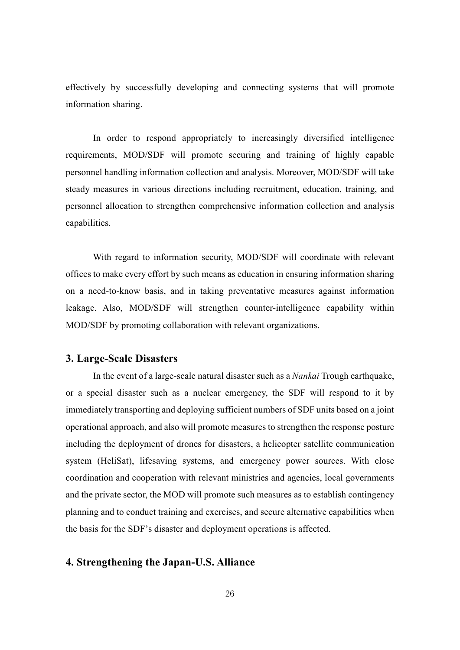effectively by successfully developing and connecting systems that will promote information sharing.

In order to respond appropriately to increasingly diversified intelligence requirements, MOD/SDF will promote securing and training of highly capable personnel handling information collection and analysis. Moreover, MOD/SDF will take steady measures in various directions including recruitment, education, training, and personnel allocation to strengthen comprehensive information collection and analysis capabilities.

With regard to information security, MOD/SDF will coordinate with relevant offices to make every effort by such means as education in ensuring information sharing on a need-to-know basis, and in taking preventative measures against information leakage. Also, MOD/SDF will strengthen counter-intelligence capability within MOD/SDF by promoting collaboration with relevant organizations.

#### **3. Large-Scale Disasters**

In the event of a large-scale natural disaster such as a *Nankai* Trough earthquake, or a special disaster such as a nuclear emergency, the SDF will respond to it by immediately transporting and deploying sufficient numbers of SDF units based on a joint operational approach, and also will promote measures to strengthen the response posture including the deployment of drones for disasters, a helicopter satellite communication system (HeliSat), lifesaving systems, and emergency power sources. With close coordination and cooperation with relevant ministries and agencies, local governments and the private sector, the MOD will promote such measures as to establish contingency planning and to conduct training and exercises, and secure alternative capabilities when the basis for the SDF's disaster and deployment operations is affected.

## **4. Strengthening the Japan-U.S. Alliance**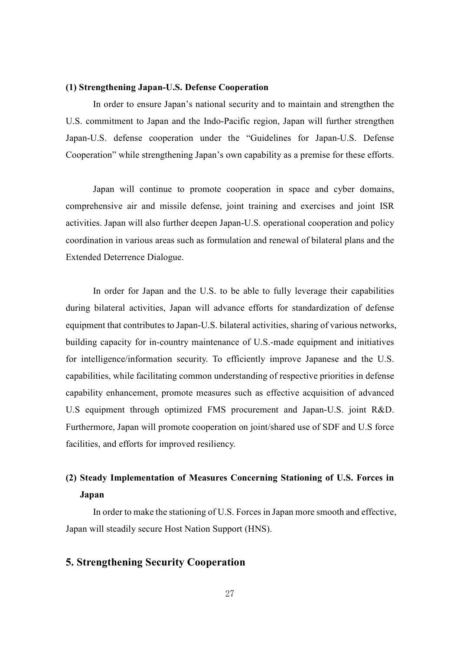#### **(1) Strengthening Japan-U.S. Defense Cooperation**

In order to ensure Japan's national security and to maintain and strengthen the U.S. commitment to Japan and the Indo-Pacific region, Japan will further strengthen Japan-U.S. defense cooperation under the "Guidelines for Japan-U.S. Defense Cooperation" while strengthening Japan's own capability as a premise for these efforts.

Japan will continue to promote cooperation in space and cyber domains, comprehensive air and missile defense, joint training and exercises and joint ISR activities. Japan will also further deepen Japan-U.S. operational cooperation and policy coordination in various areas such as formulation and renewal of bilateral plans and the Extended Deterrence Dialogue.

In order for Japan and the U.S. to be able to fully leverage their capabilities during bilateral activities, Japan will advance efforts for standardization of defense equipment that contributes to Japan-U.S. bilateral activities, sharing of various networks, building capacity for in-country maintenance of U.S.-made equipment and initiatives for intelligence/information security. To efficiently improve Japanese and the U.S. capabilities, while facilitating common understanding of respective priorities in defense capability enhancement, promote measures such as effective acquisition of advanced U.S equipment through optimized FMS procurement and Japan-U.S. joint R&D. Furthermore, Japan will promote cooperation on joint/shared use of SDF and U.S force facilities, and efforts for improved resiliency.

# **(2) Steady Implementation of Measures Concerning Stationing of U.S. Forces in Japan**

In order to make the stationing of U.S. Forces in Japan more smooth and effective, Japan will steadily secure Host Nation Support (HNS).

## **5. Strengthening Security Cooperation**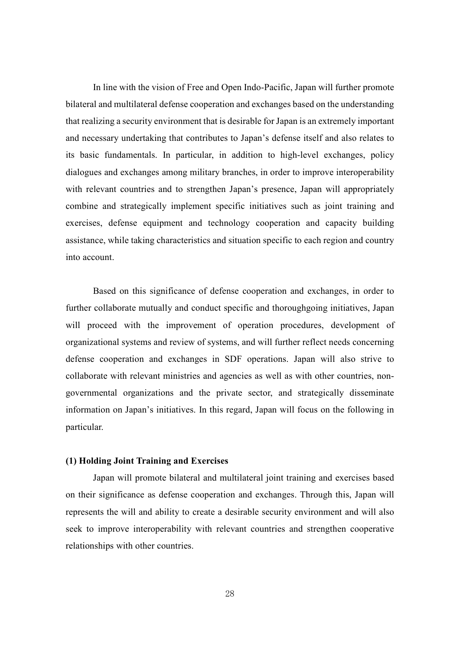In line with the vision of Free and Open Indo-Pacific, Japan will further promote bilateral and multilateral defense cooperation and exchanges based on the understanding that realizing a security environment that is desirable for Japan is an extremely important and necessary undertaking that contributes to Japan's defense itself and also relates to its basic fundamentals. In particular, in addition to high-level exchanges, policy dialogues and exchanges among military branches, in order to improve interoperability with relevant countries and to strengthen Japan's presence, Japan will appropriately combine and strategically implement specific initiatives such as joint training and exercises, defense equipment and technology cooperation and capacity building assistance, while taking characteristics and situation specific to each region and country into account.

Based on this significance of defense cooperation and exchanges, in order to further collaborate mutually and conduct specific and thoroughgoing initiatives, Japan will proceed with the improvement of operation procedures, development of organizational systems and review of systems, and will further reflect needs concerning defense cooperation and exchanges in SDF operations. Japan will also strive to collaborate with relevant ministries and agencies as well as with other countries, nongovernmental organizations and the private sector, and strategically disseminate information on Japan's initiatives. In this regard, Japan will focus on the following in particular.

## **(1) Holding Joint Training and Exercises**

Japan will promote bilateral and multilateral joint training and exercises based on their significance as defense cooperation and exchanges. Through this, Japan will represents the will and ability to create a desirable security environment and will also seek to improve interoperability with relevant countries and strengthen cooperative relationships with other countries.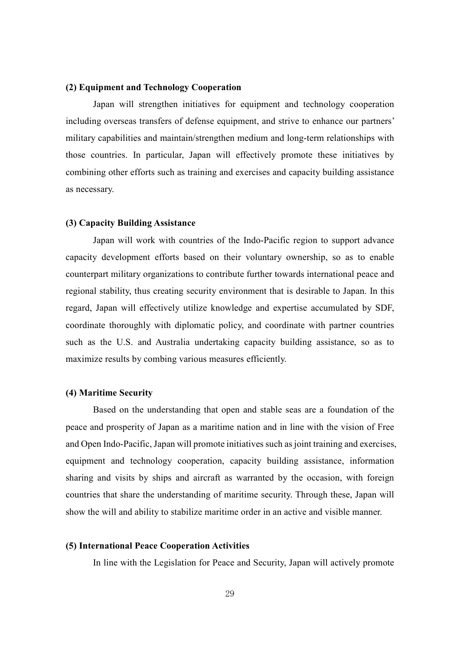#### **(2) Equipment and Technology Cooperation**

Japan will strengthen initiatives for equipment and technology cooperation including overseas transfers of defense equipment, and strive to enhance our partners' military capabilities and maintain/strengthen medium and long-term relationships with those countries. In particular, Japan will effectively promote these initiatives by combining other efforts such as training and exercises and capacity building assistance as necessary.

#### **(3) Capacity Building Assistance**

Japan will work with countries of the Indo-Pacific region to support advance capacity development efforts based on their voluntary ownership, so as to enable counterpart military organizations to contribute further towards international peace and regional stability, thus creating security environment that is desirable to Japan. In this regard, Japan will effectively utilize knowledge and expertise accumulated by SDF, coordinate thoroughly with diplomatic policy, and coordinate with partner countries such as the U.S. and Australia undertaking capacity building assistance, so as to maximize results by combing various measures efficiently.

## **(4) Maritime Security**

Based on the understanding that open and stable seas are a foundation of the peace and prosperity of Japan as a maritime nation and in line with the vision of Free and Open Indo-Pacific, Japan will promote initiatives such as joint training and exercises, equipment and technology cooperation, capacity building assistance, information sharing and visits by ships and aircraft as warranted by the occasion, with foreign countries that share the understanding of maritime security. Through these, Japan will show the will and ability to stabilize maritime order in an active and visible manner.

#### **(5) International Peace Cooperation Activities**

In line with the Legislation for Peace and Security, Japan will actively promote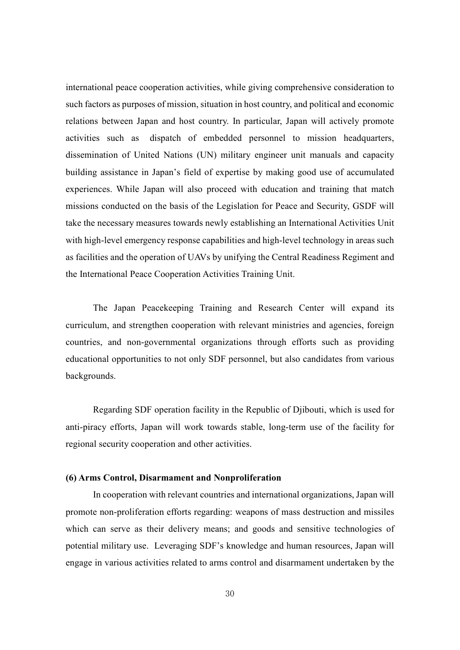international peace cooperation activities, while giving comprehensive consideration to such factors as purposes of mission, situation in host country, and political and economic relations between Japan and host country. In particular, Japan will actively promote activities such as dispatch of embedded personnel to mission headquarters, dissemination of United Nations (UN) military engineer unit manuals and capacity building assistance in Japan's field of expertise by making good use of accumulated experiences. While Japan will also proceed with education and training that match missions conducted on the basis of the Legislation for Peace and Security, GSDF will take the necessary measures towards newly establishing an International Activities Unit with high-level emergency response capabilities and high-level technology in areas such as facilities and the operation of UAVs by unifying the Central Readiness Regiment and the International Peace Cooperation Activities Training Unit.

The Japan Peacekeeping Training and Research Center will expand its curriculum, and strengthen cooperation with relevant ministries and agencies, foreign countries, and non-governmental organizations through efforts such as providing educational opportunities to not only SDF personnel, but also candidates from various backgrounds.

Regarding SDF operation facility in the Republic of Djibouti, which is used for anti-piracy efforts, Japan will work towards stable, long-term use of the facility for regional security cooperation and other activities.

#### **(6) Arms Control, Disarmament and Nonproliferation**

In cooperation with relevant countries and international organizations, Japan will promote non-proliferation efforts regarding: weapons of mass destruction and missiles which can serve as their delivery means; and goods and sensitive technologies of potential military use. Leveraging SDF's knowledge and human resources, Japan will engage in various activities related to arms control and disarmament undertaken by the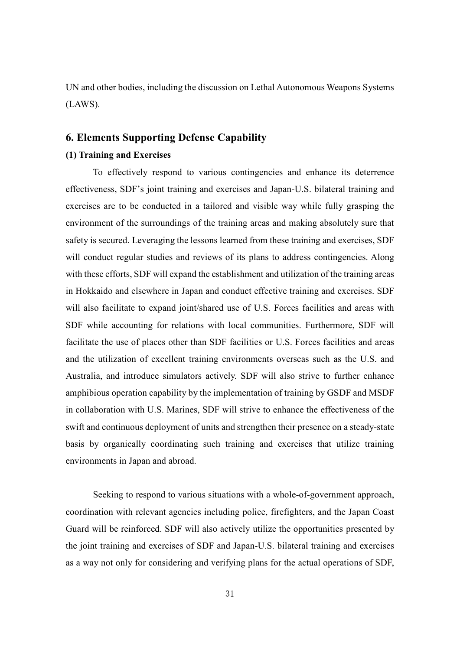UN and other bodies, including the discussion on Lethal Autonomous Weapons Systems (LAWS).

### **6. Elements Supporting Defense Capability**

#### **(1) Training and Exercises**

To effectively respond to various contingencies and enhance its deterrence effectiveness, SDF's joint training and exercises and Japan-U.S. bilateral training and exercises are to be conducted in a tailored and visible way while fully grasping the environment of the surroundings of the training areas and making absolutely sure that safety is secured. Leveraging the lessons learned from these training and exercises, SDF will conduct regular studies and reviews of its plans to address contingencies. Along with these efforts, SDF will expand the establishment and utilization of the training areas in Hokkaido and elsewhere in Japan and conduct effective training and exercises. SDF will also facilitate to expand joint/shared use of U.S. Forces facilities and areas with SDF while accounting for relations with local communities. Furthermore, SDF will facilitate the use of places other than SDF facilities or U.S. Forces facilities and areas and the utilization of excellent training environments overseas such as the U.S. and Australia, and introduce simulators actively. SDF will also strive to further enhance amphibious operation capability by the implementation of training by GSDF and MSDF in collaboration with U.S. Marines, SDF will strive to enhance the effectiveness of the swift and continuous deployment of units and strengthen their presence on a steady-state basis by organically coordinating such training and exercises that utilize training environments in Japan and abroad.

Seeking to respond to various situations with a whole-of-government approach, coordination with relevant agencies including police, firefighters, and the Japan Coast Guard will be reinforced. SDF will also actively utilize the opportunities presented by the joint training and exercises of SDF and Japan-U.S. bilateral training and exercises as a way not only for considering and verifying plans for the actual operations of SDF,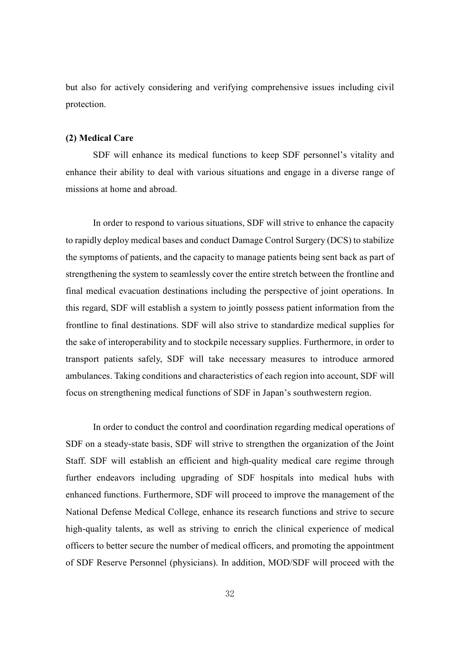but also for actively considering and verifying comprehensive issues including civil protection.

#### **(2) Medical Care**

SDF will enhance its medical functions to keep SDF personnel's vitality and enhance their ability to deal with various situations and engage in a diverse range of missions at home and abroad.

In order to respond to various situations, SDF will strive to enhance the capacity to rapidly deploy medical bases and conduct Damage Control Surgery (DCS) to stabilize the symptoms of patients, and the capacity to manage patients being sent back as part of strengthening the system to seamlessly cover the entire stretch between the frontline and final medical evacuation destinations including the perspective of joint operations. In this regard, SDF will establish a system to jointly possess patient information from the frontline to final destinations. SDF will also strive to standardize medical supplies for the sake of interoperability and to stockpile necessary supplies. Furthermore, in order to transport patients safely, SDF will take necessary measures to introduce armored ambulances. Taking conditions and characteristics of each region into account, SDF will focus on strengthening medical functions of SDF in Japan's southwestern region.

In order to conduct the control and coordination regarding medical operations of SDF on a steady-state basis, SDF will strive to strengthen the organization of the Joint Staff. SDF will establish an efficient and high-quality medical care regime through further endeavors including upgrading of SDF hospitals into medical hubs with enhanced functions. Furthermore, SDF will proceed to improve the management of the National Defense Medical College, enhance its research functions and strive to secure high-quality talents, as well as striving to enrich the clinical experience of medical officers to better secure the number of medical officers, and promoting the appointment of SDF Reserve Personnel (physicians). In addition, MOD/SDF will proceed with the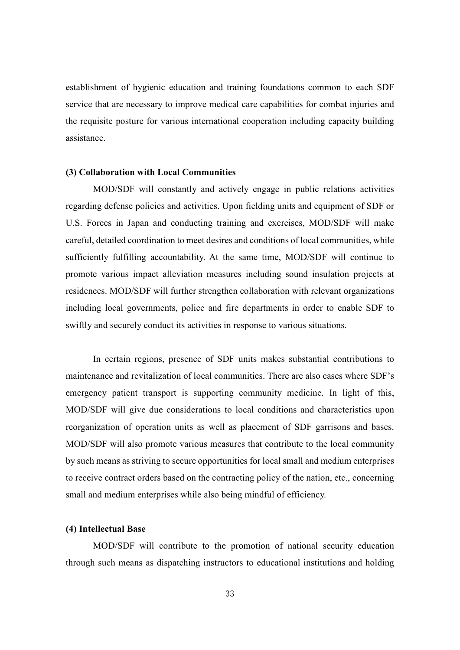establishment of hygienic education and training foundations common to each SDF service that are necessary to improve medical care capabilities for combat injuries and the requisite posture for various international cooperation including capacity building assistance.

#### **(3) Collaboration with Local Communities**

MOD/SDF will constantly and actively engage in public relations activities regarding defense policies and activities. Upon fielding units and equipment of SDF or U.S. Forces in Japan and conducting training and exercises, MOD/SDF will make careful, detailed coordination to meet desires and conditions of local communities, while sufficiently fulfilling accountability. At the same time, MOD/SDF will continue to promote various impact alleviation measures including sound insulation projects at residences. MOD/SDF will further strengthen collaboration with relevant organizations including local governments, police and fire departments in order to enable SDF to swiftly and securely conduct its activities in response to various situations.

In certain regions, presence of SDF units makes substantial contributions to maintenance and revitalization of local communities. There are also cases where SDF's emergency patient transport is supporting community medicine. In light of this, MOD/SDF will give due considerations to local conditions and characteristics upon reorganization of operation units as well as placement of SDF garrisons and bases. MOD/SDF will also promote various measures that contribute to the local community by such means as striving to secure opportunities for local small and medium enterprises to receive contract orders based on the contracting policy of the nation, etc., concerning small and medium enterprises while also being mindful of efficiency.

#### **(4) Intellectual Base**

MOD/SDF will contribute to the promotion of national security education through such means as dispatching instructors to educational institutions and holding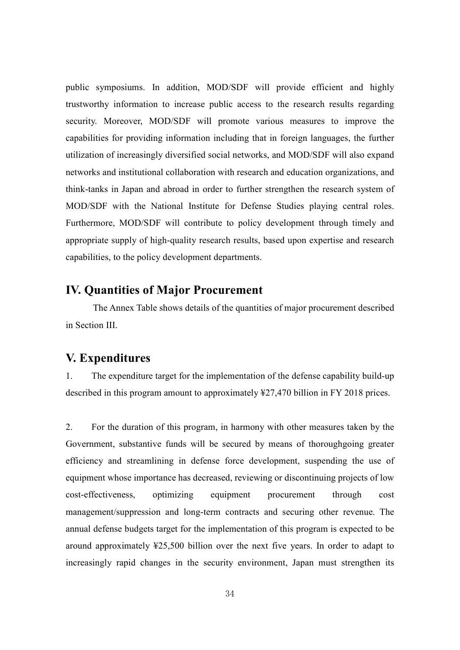public symposiums. In addition, MOD/SDF will provide efficient and highly trustworthy information to increase public access to the research results regarding security. Moreover, MOD/SDF will promote various measures to improve the capabilities for providing information including that in foreign languages, the further utilization of increasingly diversified social networks, and MOD/SDF will also expand networks and institutional collaboration with research and education organizations, and think-tanks in Japan and abroad in order to further strengthen the research system of MOD/SDF with the National Institute for Defense Studies playing central roles. Furthermore, MOD/SDF will contribute to policy development through timely and appropriate supply of high-quality research results, based upon expertise and research capabilities, to the policy development departments.

# **IV. Quantities of Major Procurement**

The Annex Table shows details of the quantities of major procurement described in Section III.

## **V. Expenditures**

1. The expenditure target for the implementation of the defense capability build-up described in this program amount to approximately ¥27,470 billion in FY 2018 prices.

2. For the duration of this program, in harmony with other measures taken by the Government, substantive funds will be secured by means of thoroughgoing greater efficiency and streamlining in defense force development, suspending the use of equipment whose importance has decreased, reviewing or discontinuing projects of low cost-effectiveness, optimizing equipment procurement through cost management/suppression and long-term contracts and securing other revenue. The annual defense budgets target for the implementation of this program is expected to be around approximately ¥25,500 billion over the next five years. In order to adapt to increasingly rapid changes in the security environment, Japan must strengthen its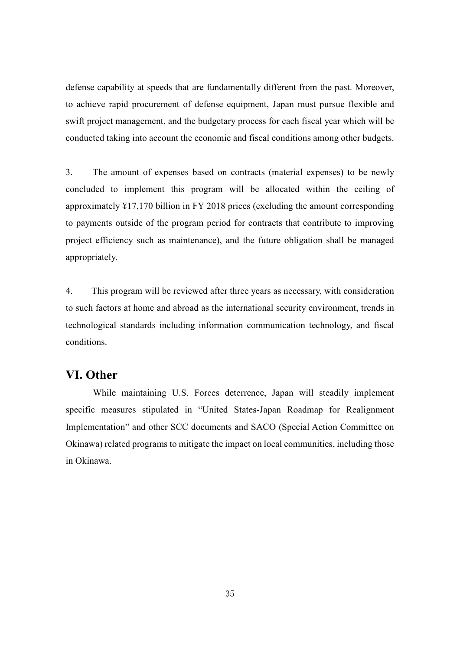defense capability at speeds that are fundamentally different from the past. Moreover, to achieve rapid procurement of defense equipment, Japan must pursue flexible and swift project management, and the budgetary process for each fiscal year which will be conducted taking into account the economic and fiscal conditions among other budgets.

3. The amount of expenses based on contracts (material expenses) to be newly concluded to implement this program will be allocated within the ceiling of approximately ¥17,170 billion in FY 2018 prices (excluding the amount corresponding to payments outside of the program period for contracts that contribute to improving project efficiency such as maintenance), and the future obligation shall be managed appropriately.

4. This program will be reviewed after three years as necessary, with consideration to such factors at home and abroad as the international security environment, trends in technological standards including information communication technology, and fiscal conditions.

## **VI. Other**

While maintaining U.S. Forces deterrence, Japan will steadily implement specific measures stipulated in "United States-Japan Roadmap for Realignment Implementation" and other SCC documents and SACO (Special Action Committee on Okinawa) related programs to mitigate the impact on local communities, including those in Okinawa.